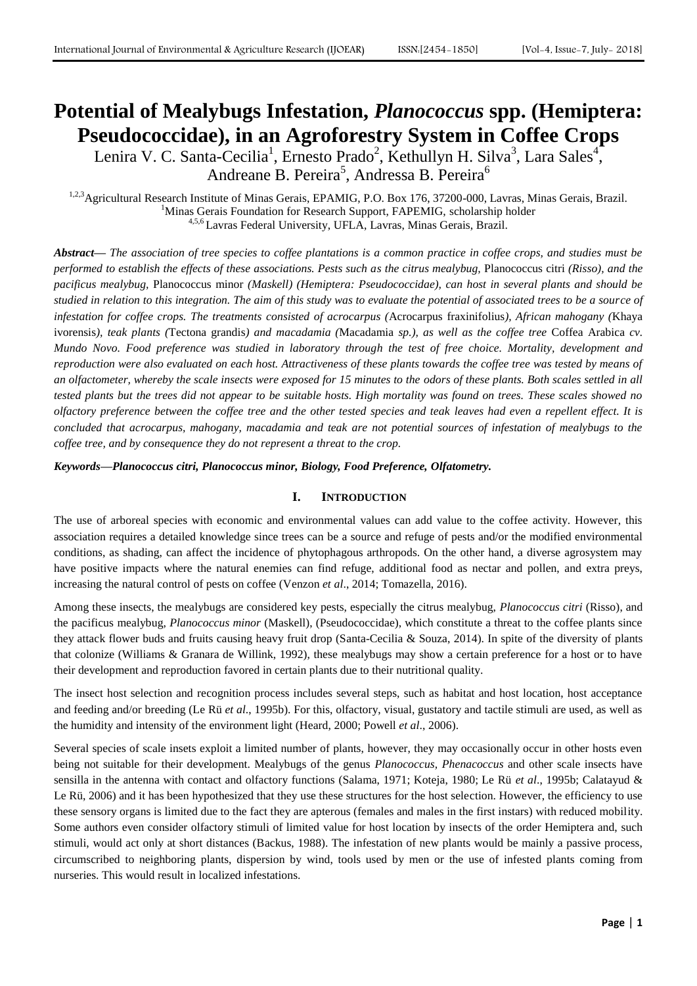# **Potential of Mealybugs Infestation,** *Planococcus* **spp. (Hemiptera: Pseudococcidae), in an Agroforestry System in Coffee Crops**

Lenira V. C. Santa-Cecilia<sup>1</sup>, Ernesto Prado<sup>2</sup>, Kethullyn H. Silva<sup>3</sup>, Lara Sales<sup>4</sup>, Andreane B. Pereira<sup>5</sup>, Andressa B. Pereira<sup>6</sup>

<sup>1,2,3</sup> Agricultural Research Institute of Minas Gerais, EPAMIG, P.O. Box 176, 37200-000, Lavras, Minas Gerais, Brazil. <sup>1</sup>Minas Gerais Foundation for Research Support, FAPEMIG, scholarship holder 4,5,6 Lavras Federal University, UFLA, Lavras, Minas Gerais, Brazil.

*Abstract***—** *The association of tree species to coffee plantations is a common practice in coffee crops, and studies must be performed to establish the effects of these associations. Pests such as the citrus mealybug,* Planococcus citri *(Risso), and the pacificus mealybug,* Planococcus minor *(Maskell) (Hemiptera: Pseudococcidae), can host in several plants and should be studied in relation to this integration. The aim of this study was to evaluate the potential of associated trees to be a source of infestation for coffee crops. The treatments consisted of acrocarpus (*Acrocarpus fraxinifolius*), African mahogany (*Khaya ivorensis*), teak plants (*Tectona grandis*) and macadamia (*Macadamia *sp.), as well as the coffee tree* Coffea Arabica *cv. Mundo Novo. Food preference was studied in laboratory through the test of free choice. Mortality, development and reproduction were also evaluated on each host. Attractiveness of these plants towards the coffee tree was tested by means of an olfactometer, whereby the scale insects were exposed for 15 minutes to the odors of these plants. Both scales settled in all tested plants but the trees did not appear to be suitable hosts. High mortality was found on trees. These scales showed no olfactory preference between the coffee tree and the other tested species and teak leaves had even a repellent effect. It is concluded that acrocarpus, mahogany, macadamia and teak are not potential sources of infestation of mealybugs to the coffee tree, and by consequence they do not represent a threat to the crop.*

*Keywords***—***Planococcus citri, Planococcus minor, Biology, Food Preference, Olfatometry.*

## **I. INTRODUCTION**

The use of arboreal species with economic and environmental values can add value to the coffee activity. However, this association requires a detailed knowledge since trees can be a source and refuge of pests and/or the modified environmental conditions, as shading, can affect the incidence of phytophagous arthropods. On the other hand, a diverse agrosystem may have positive impacts where the natural enemies can find refuge, additional food as nectar and pollen, and extra preys, increasing the natural control of pests on coffee (Venzon *et al*., 2014; Tomazella, 2016).

Among these insects, the mealybugs are considered key pests, especially the citrus mealybug, *Planococcus citri* (Risso), and the pacificus mealybug, *Planococcus minor* (Maskell), (Pseudococcidae), which constitute a threat to the coffee plants since they attack flower buds and fruits causing heavy fruit drop (Santa-Cecilia & Souza, 2014). In spite of the diversity of plants that colonize (Williams & Granara de Willink, 1992), these mealybugs may show a certain preference for a host or to have their development and reproduction favored in certain plants due to their nutritional quality.

The insect host selection and recognition process includes several steps, such as habitat and host location, host acceptance and feeding and/or breeding (Le Rü *et al*., 1995b). For this, olfactory, visual, gustatory and tactile stimuli are used, as well as the humidity and intensity of the environment light (Heard, 2000; Powell *et al*., 2006).

Several species of scale insets exploit a limited number of plants, however, they may occasionally occur in other hosts even being not suitable for their development. Mealybugs of the genus *Planococcus, Phenacoccus* and other scale insects have sensilla in the antenna with contact and olfactory functions (Salama, 1971; Koteja, 1980; Le Rü *et al*., 1995b; Calatayud & Le Rü, 2006) and it has been hypothesized that they use these structures for the host selection. However, the efficiency to use these sensory organs is limited due to the fact they are apterous (females and males in the first instars) with reduced mobility. Some authors even consider olfactory stimuli of limited value for host location by insects of the order Hemiptera and, such stimuli, would act only at short distances (Backus, 1988). The infestation of new plants would be mainly a passive process, circumscribed to neighboring plants, dispersion by wind, tools used by men or the use of infested plants coming from nurseries. This would result in localized infestations.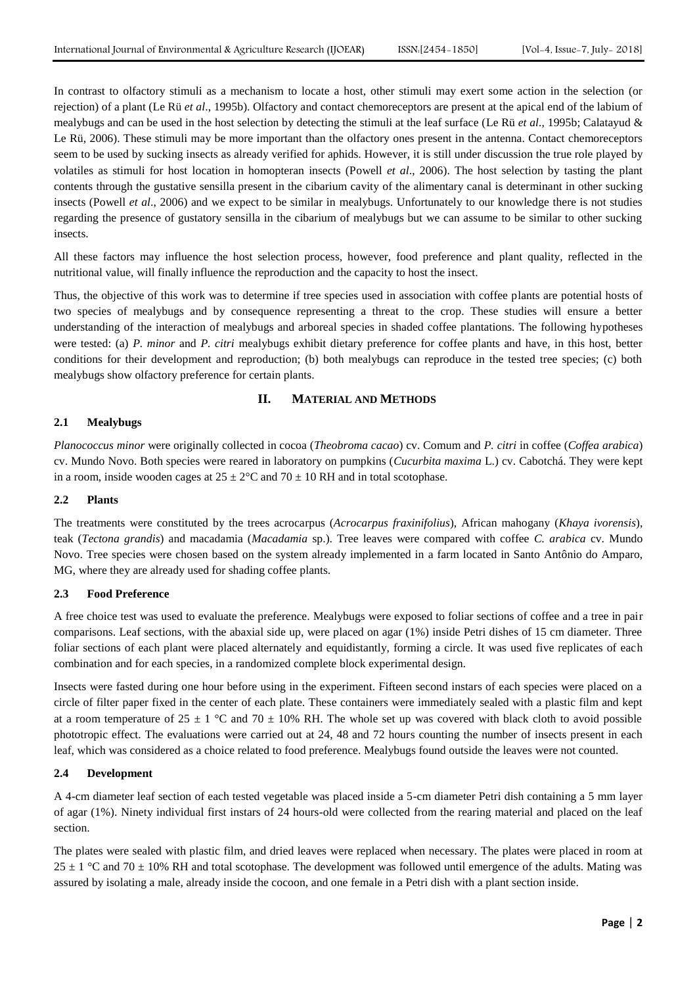In contrast to olfactory stimuli as a mechanism to locate a host, other stimuli may exert some action in the selection (or rejection) of a plant (Le Rü *et al*., 1995b). Olfactory and contact chemoreceptors are present at the apical end of the labium of mealybugs and can be used in the host selection by detecting the stimuli at the leaf surface (Le Rü *et al*., 1995b; Calatayud & Le Rü, 2006). These stimuli may be more important than the olfactory ones present in the antenna. Contact chemoreceptors seem to be used by sucking insects as already verified for aphids. However, it is still under discussion the true role played by volatiles as stimuli for host location in homopteran insects (Powell *et al*., 2006). The host selection by tasting the plant contents through the gustative sensilla present in the cibarium cavity of the alimentary canal is determinant in other sucking insects (Powell *et al*., 2006) and we expect to be similar in mealybugs. Unfortunately to our knowledge there is not studies regarding the presence of gustatory sensilla in the cibarium of mealybugs but we can assume to be similar to other sucking insects.

All these factors may influence the host selection process, however, food preference and plant quality, reflected in the nutritional value, will finally influence the reproduction and the capacity to host the insect.

Thus, the objective of this work was to determine if tree species used in association with coffee plants are potential hosts of two species of mealybugs and by consequence representing a threat to the crop. These studies will ensure a better understanding of the interaction of mealybugs and arboreal species in shaded coffee plantations. The following hypotheses were tested: (a) *P. minor* and *P. citri* mealybugs exhibit dietary preference for coffee plants and have, in this host, better conditions for their development and reproduction; (b) both mealybugs can reproduce in the tested tree species; (c) both mealybugs show olfactory preference for certain plants.

#### **II. MATERIAL AND METHODS**

#### **2.1 Mealybugs**

*Planococcus minor* were originally collected in cocoa (*Theobroma cacao*) cv. Comum and *P. citri* in coffee (*Coffea arabica*) cv. Mundo Novo. Both species were reared in laboratory on pumpkins (*Cucurbita maxima* L.) cv. Cabotchá. They were kept in a room, inside wooden cages at  $25 \pm 2^{\circ}$ C and  $70 \pm 10$  RH and in total scotophase.

#### **2.2 Plants**

The treatments were constituted by the trees acrocarpus (*Acrocarpus fraxinifolius*), African mahogany (*Khaya ivorensis*), teak (*Tectona grandis*) and macadamia (*Macadamia* sp.). Tree leaves were compared with coffee *C. arabica* cv. Mundo Novo. Tree species were chosen based on the system already implemented in a farm located in Santo Antônio do Amparo, MG, where they are already used for shading coffee plants.

#### **2.3 Food Preference**

A free choice test was used to evaluate the preference. Mealybugs were exposed to foliar sections of coffee and a tree in pair comparisons. Leaf sections, with the abaxial side up, were placed on agar (1%) inside Petri dishes of 15 cm diameter. Three foliar sections of each plant were placed alternately and equidistantly, forming a circle. It was used five replicates of each combination and for each species, in a randomized complete block experimental design.

Insects were fasted during one hour before using in the experiment. Fifteen second instars of each species were placed on a circle of filter paper fixed in the center of each plate. These containers were immediately sealed with a plastic film and kept at a room temperature of  $25 \pm 1$  °C and  $70 \pm 10\%$  RH. The whole set up was covered with black cloth to avoid possible phototropic effect. The evaluations were carried out at 24, 48 and 72 hours counting the number of insects present in each leaf, which was considered as a choice related to food preference. Mealybugs found outside the leaves were not counted.

#### **2.4 Development**

A 4-cm diameter leaf section of each tested vegetable was placed inside a 5-cm diameter Petri dish containing a 5 mm layer of agar (1%). Ninety individual first instars of 24 hours-old were collected from the rearing material and placed on the leaf section.

The plates were sealed with plastic film, and dried leaves were replaced when necessary. The plates were placed in room at  $25 \pm 1$  °C and 70  $\pm$  10% RH and total scotophase. The development was followed until emergence of the adults. Mating was assured by isolating a male, already inside the cocoon, and one female in a Petri dish with a plant section inside.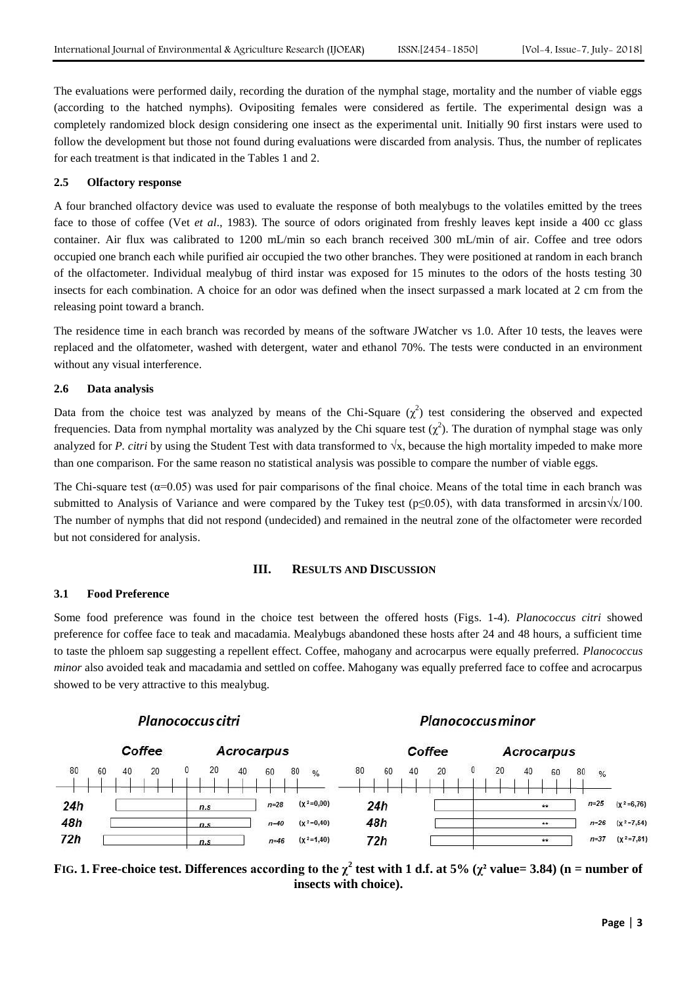The evaluations were performed daily, recording the duration of the nymphal stage, mortality and the number of viable eggs (according to the hatched nymphs). Ovipositing females were considered as fertile. The experimental design was a completely randomized block design considering one insect as the experimental unit. Initially 90 first instars were used to follow the development but those not found during evaluations were discarded from analysis. Thus, the number of replicates for each treatment is that indicated in the Tables 1 and 2.

## **2.5 Olfactory response**

A four branched olfactory device was used to evaluate the response of both mealybugs to the volatiles emitted by the trees face to those of coffee (Vet *et al*., 1983). The source of odors originated from freshly leaves kept inside a 400 cc glass container. Air flux was calibrated to 1200 mL/min so each branch received 300 mL/min of air. Coffee and tree odors occupied one branch each while purified air occupied the two other branches. They were positioned at random in each branch of the olfactometer. Individual mealybug of third instar was exposed for 15 minutes to the odors of the hosts testing 30 insects for each combination. A choice for an odor was defined when the insect surpassed a mark located at 2 cm from the releasing point toward a branch.

The residence time in each branch was recorded by means of the software JWatcher vs 1.0. After 10 tests, the leaves were replaced and the olfatometer, washed with detergent, water and ethanol 70%. The tests were conducted in an environment without any visual interference.

#### **2.6 Data analysis**

Data from the choice test was analyzed by means of the Chi-Square  $(\chi^2)$  test considering the observed and expected frequencies. Data from nymphal mortality was analyzed by the Chi square test  $(\chi^2)$ . The duration of nymphal stage was only analyzed for *P. citri* by using the Student Test with data transformed to  $\sqrt{x}$ , because the high mortality impeded to make more than one comparison. For the same reason no statistical analysis was possible to compare the number of viable eggs.

The Chi-square test  $(\alpha=0.05)$  was used for pair comparisons of the final choice. Means of the total time in each branch was submitted to Analysis of Variance and were compared by the Tukey test ( $p \le 0.05$ ), with data transformed in arcsin√x/100. The number of nymphs that did not respond (undecided) and remained in the neutral zone of the olfactometer were recorded but not considered for analysis.

## **III. RESULTS AND DISCUSSION**

#### **3.1 Food Preference**

Some food preference was found in the choice test between the offered hosts (Figs. 1-4). *Planococcus citri* showed preference for coffee face to teak and macadamia. Mealybugs abandoned these hosts after 24 and 48 hours, a sufficient time to taste the phloem sap suggesting a repellent effect. Coffee, mahogany and acrocarpus were equally preferred. *Planococcus minor* also avoided teak and macadamia and settled on coffee. Mahogany was equally preferred face to coffee and acrocarpus showed to be very attractive to this mealybug.

# Planococcus citri

## **Planococcus minor**



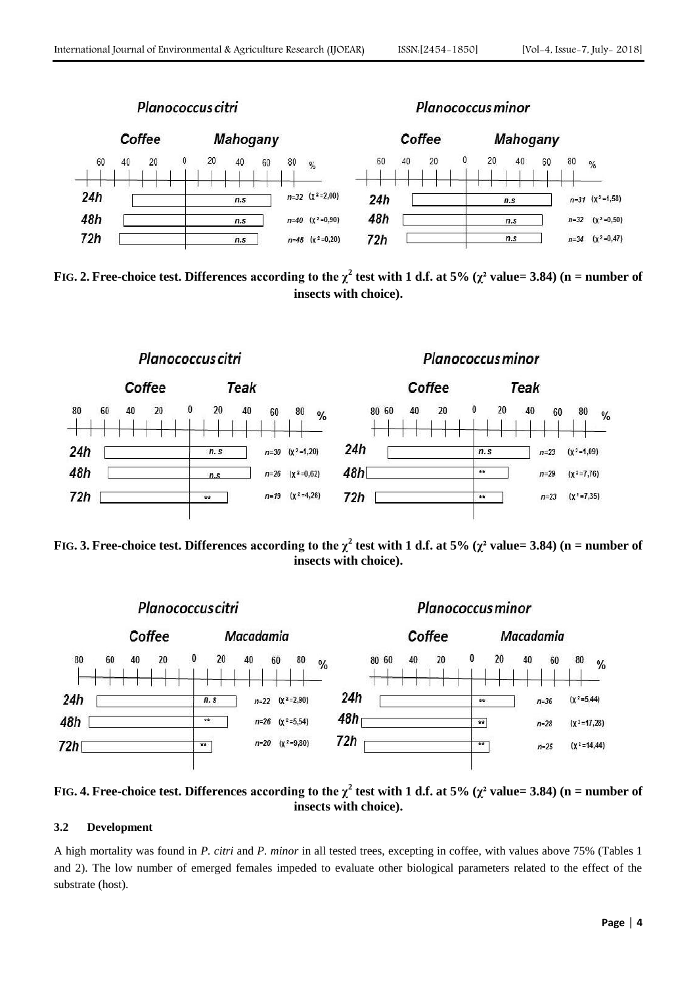

**F**IG. 2. Free-choice test. Differences according to the  $\chi^2$  test with 1 d.f. at 5% ( $\chi^2$  value= 3.84) (n = number of **insects with choice).**



**F**IG**.** 3. Free-choice test. Differences according to the  $\chi^2$  test with 1 d.f. at 5% ( $\chi^2$  value= 3.84) (n = number of **insects with choice).**



**FIG. 4.** Free-choice test. Differences according to the  $\chi^2$  test with 1 d.f. at 5% ( $\chi^2$  value= 3.84) (n = number of **insects with choice).**

## **3.2 Development**

A high mortality was found in *P. citri* and *P. minor* in all tested trees, excepting in coffee, with values above 75% (Tables 1 and 2). The low number of emerged females impeded to evaluate other biological parameters related to the effect of the substrate (host).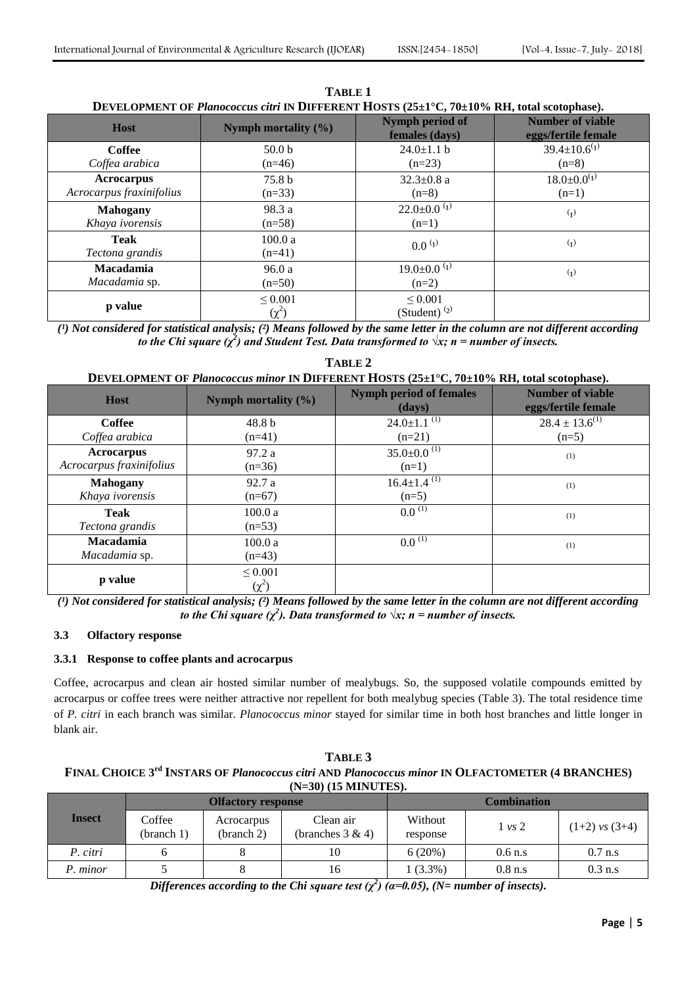| <b>Host</b>              | Nymph mortality $(\% )$ | Nymph period of<br>females (days) | <b>Number of viable</b><br>eggs/fertile female |  |
|--------------------------|-------------------------|-----------------------------------|------------------------------------------------|--|
| Coffee                   | 50.0 <sub>b</sub>       | $24.0 \pm 1.1$ b                  | $39.4 \pm 10.6^{(1)}$                          |  |
| Coffea arabica           | $(n=46)$                | $(n=23)$                          | $(n=8)$                                        |  |
| <b>Acrocarpus</b>        | 75.8 b                  | $32.3 \pm 0.8$ a                  | $18.0 \pm 0.0^{(1)}$                           |  |
| Acrocarpus fraxinifolius | $(n=33)$                | $(n=8)$                           | $(n=1)$                                        |  |
| <b>Mahogany</b>          | 98.3 a                  | $22.0 \pm 0.0$ <sup>(1)</sup>     | $\mathbf{q}$                                   |  |
| Khaya ivorensis          | $(n=58)$                | $(n=1)$                           |                                                |  |
| Teak                     | 100.0 a                 | $0.0^{(1)}$                       | $\mathbf{q}$                                   |  |
| Tectona grandis          | $(n=41)$                |                                   |                                                |  |
| Macadamia                | 96.0a                   | $19.0 \pm 0.0$ <sup>(1)</sup>     | $_{(1)}$                                       |  |
| Macadamia sp.            | $(n=50)$                | $(n=2)$                           |                                                |  |
|                          | $\leq 0.001$            | $\leq 0.001$                      |                                                |  |
| p value                  | $(\chi^2)$              | (Student) $(2)$                   |                                                |  |

**TABLE 1 DEVELOPMENT OF** *Planococcus citri* **IN DIFFERENT HOSTS (25±1°C, 70±10% RH, total scotophase).**

(<sup>1</sup>) Not considered for statistical analysis; (<sup>2</sup>) Means followed by the same letter in the column are not different according *to the Chi square (χ<sup>2</sup> ) and Student Test. Data transformed to √x; n = number of insects.*

**TABLE 2**

# **DEVELOPMENT OF** *Planococcus minor* **IN DIFFERENT HOSTS (25±1°C, 70±10% RH, total scotophase).**

| <b>Host</b>                            | Nymph mortality $(\% )$    | <b>Nymph period of females</b><br>(days) | <b>Number of viable</b><br>eggs/fertile female |  |
|----------------------------------------|----------------------------|------------------------------------------|------------------------------------------------|--|
| <b>Coffee</b>                          | 48.8 <sub>b</sub>          | $24.0 \pm 1.1$ <sup>(1)</sup>            | $28.4 \pm 13.6^{(1)}$                          |  |
| Coffea arabica                         | $(n=41)$                   | $(n=21)$                                 | $(n=5)$                                        |  |
| Acrocarpus<br>Acrocarpus fraxinifolius | 97.2a<br>$(n=36)$          | $35.0 \pm 0.0$ <sup>(1)</sup><br>$(n=1)$ | (1)                                            |  |
| <b>Mahogany</b><br>Khaya ivorensis     | 92.7 a<br>$(n=67)$         | $16.4 \pm 1.4$ <sup>(1)</sup><br>$(n=5)$ | (1)                                            |  |
| Teak<br>Tectona grandis                | 100.0a<br>$(n=53)$         | $0.0^{(1)}$                              | (1)                                            |  |
| Macadamia<br>Macadamia sp.             | 100.0a<br>$(n=43)$         | $0.0^{(1)}$                              | (1)                                            |  |
| p value                                | $\leq 0.001$<br>$(\chi^2)$ |                                          |                                                |  |

*(¹) Not considered for statistical analysis; (²) Means followed by the same letter in the column are not different according to the Chi square (χ<sup>2</sup>). Data transformed to*  $\forall x; n =$  *number of insects.* 

## **3.3 Olfactory response**

## **3.3.1 Response to coffee plants and acrocarpus**

Coffee, acrocarpus and clean air hosted similar number of mealybugs. So, the supposed volatile compounds emitted by acrocarpus or coffee trees were neither attractive nor repellent for both mealybug species (Table 3). The total residence time of *P. citri* in each branch was similar. *Planococcus minor* stayed for similar time in both host branches and little longer in blank air.

**TABLE 3 FINAL CHOICE 3 rd INSTARS OF** *Planococcus citri* **AND** *Planococcus minor* **IN OLFACTOMETER (4 BRANCHES) (N=30) (15 MINUTES).**

| <b>Insect</b> | <b>Olfactory response</b> |                             |                                  | <b>Combination</b>  |                   |                    |
|---------------|---------------------------|-----------------------------|----------------------------------|---------------------|-------------------|--------------------|
|               | Coffee<br>(branch 1)      | Acrocarpus<br>$\frac{1}{2}$ | Clean air<br>(branches $3 & 4$ ) | Without<br>response | $1 \text{ vs } 2$ | $(1+2)$ vs $(3+4)$ |
| P. citri      |                           |                             | 10                               | 6(20%)              | $0.6$ n.s         | $0.7$ n.s          |
| P. minor      |                           |                             | 16                               | $1(3.3\%)$          | $0.8$ n.s         | $0.3$ n.s          |

*Differences according to the Chi square test* ( $\chi^2$ ) ( $\alpha$ =0.05), (N= number of insects).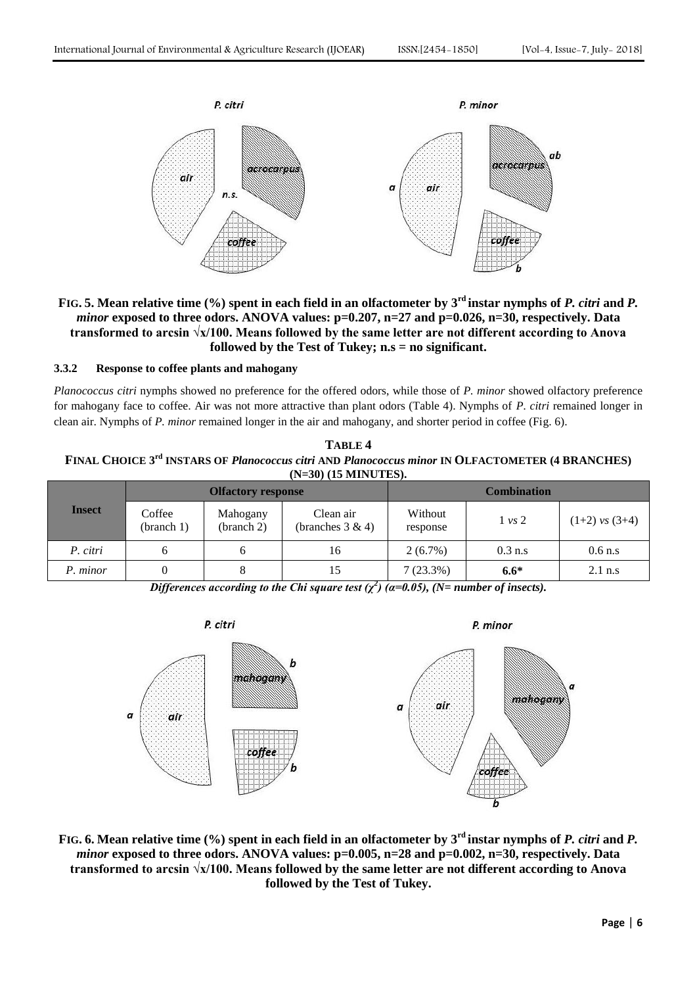

# **FIG. 5. Mean relative time (%) spent in each field in an olfactometer by 3rd instar nymphs of** *P. citri* **and** *P. minor* exposed to three odors. ANOVA values:  $p=0.207$ ,  $n=27$  and  $p=0.026$ ,  $n=30$ , respectively. Data **transformed to arcsin √x/100. Means followed by the same letter are not different according to Anova followed by the Test of Tukey; n.s = no significant.**

# **3.3.2 Response to coffee plants and mahogany**

*Planococcus citri* nymphs showed no preference for the offered odors, while those of *P. minor* showed olfactory preference for mahogany face to coffee. Air was not more attractive than plant odors (Table 4). Nymphs of *P. citri* remained longer in clean air. Nymphs of *P. minor* remained longer in the air and mahogany, and shorter period in coffee (Fig. 6).

**TABLE 4 FINAL CHOICE 3 rd INSTARS OF** *Planococcus citri* **AND** *Planococcus minor* **IN OLFACTOMETER (4 BRANCHES) (N=30) (15 MINUTES).**

| <b>Insect</b> | <b>Olfactory response</b> |                        |                                  | <b>Combination</b>  |                   |                    |
|---------------|---------------------------|------------------------|----------------------------------|---------------------|-------------------|--------------------|
|               | Coffee<br>(branch 1)      | Mahogany<br>(branch 2) | Clean air<br>(branches $3 & 4$ ) | Without<br>response | $1 \text{ vs } 2$ | $(1+2)$ vs $(3+4)$ |
| P. citri      | 6                         | O                      | 16                               | $2(6.7\%)$          | $0.3$ n.s         | $0.6$ n.s          |
| P. minor      |                           | 8                      | 15                               | 7(23.3%)            | $6.6*$            | $2.1$ n.s          |

*Differences according to the Chi square test*  $(\chi^2)$  ( $\alpha$ =0.05), (N= number of insects).



**FIG. 6. Mean relative time (%) spent in each field in an olfactometer by 3rd instar nymphs of** *P. citri* **and** *P. minor* **exposed to three odors. ANOVA values: p=0.005, n=28 and p=0.002, n=30, respectively. Data transformed to arcsin √x/100. Means followed by the same letter are not different according to Anova followed by the Test of Tukey.**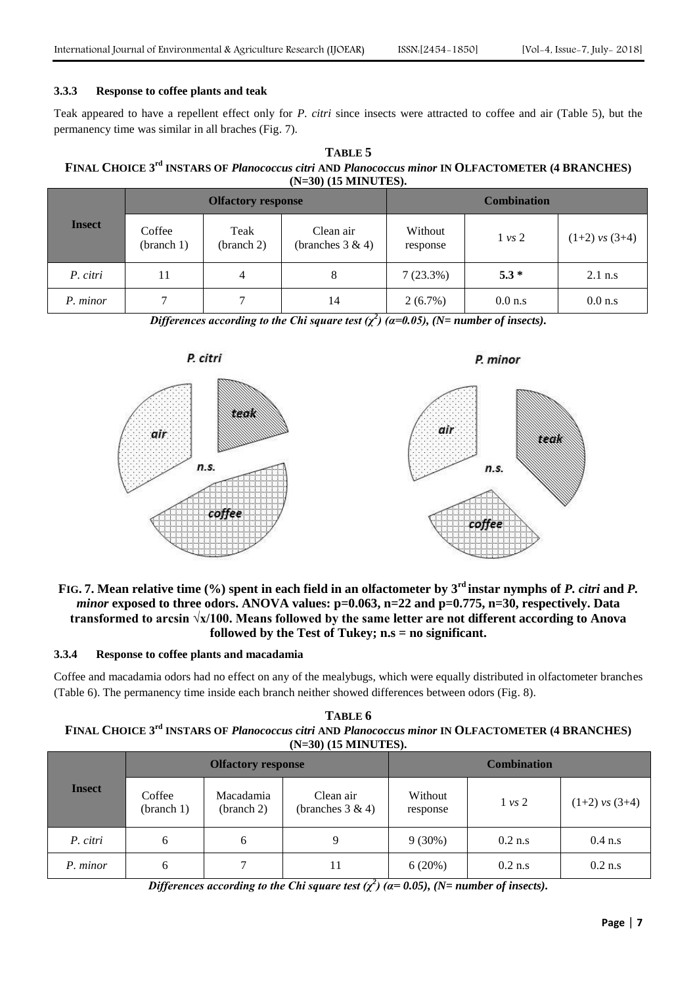## **3.3.3 Response to coffee plants and teak**

Teak appeared to have a repellent effect only for *P. citri* since insects were attracted to coffee and air (Table 5), but the permanency time was similar in all braches (Fig. 7).

**TABLE 5 FINAL CHOICE 3 rd INSTARS OF** *Planococcus citri* **AND** *Planococcus minor* **IN OLFACTOMETER (4 BRANCHES) (N=30) (15 MINUTES).**

|               | <b>Olfactory response</b> |                    |                                  | <b>Combination</b>  |                   |                    |
|---------------|---------------------------|--------------------|----------------------------------|---------------------|-------------------|--------------------|
| <b>Insect</b> | Coffee<br>(branch 1)      | Teak<br>(branch 2) | Clean air<br>(branches $3 & 4$ ) | Without<br>response | $1 \text{ vs } 2$ | $(1+2)$ vs $(3+4)$ |
| P. citri      | 11                        | 4                  | 8                                | 7(23.3%)            | $5.3*$            | $2.1$ n.s          |
| P. minor      | ⇁                         | 7                  | 14                               | $2(6.7\%)$          | $0.0$ n.s         | $0.0$ n.s          |

*Differences according to the Chi square test*  $(\chi^2)$  ( $\alpha$ =0.05), (N= number of insects).





P. minor

# **FIG. 7. Mean relative time (%) spent in each field in an olfactometer by 3rd instar nymphs of** *P. citri* **and** *P. minor* exposed to three odors. ANOVA values:  $p=0.063$ ,  $n=22$  and  $p=0.775$ ,  $n=30$ , respectively. Data **transformed to arcsin √x/100. Means followed by the same letter are not different according to Anova followed by the Test of Tukey; n.s = no significant.**

# **3.3.4 Response to coffee plants and macadamia**

Coffee and macadamia odors had no effect on any of the mealybugs, which were equally distributed in olfactometer branches (Table 6). The permanency time inside each branch neither showed differences between odors (Fig. 8).

| TABLE 6                                                                                                                    |
|----------------------------------------------------------------------------------------------------------------------------|
| FINAL CHOICE 3 <sup>rd</sup> INSTARS OF <i>Planococcus citri</i> AND <i>Planococcus minor</i> IN OLFACTOMETER (4 BRANCHES) |
| $(N=30)$ (15 MINUTES).                                                                                                     |

| <b>Insect</b> | <b>Olfactory response</b> |                         |                                  | <b>Combination</b>  |             |                    |
|---------------|---------------------------|-------------------------|----------------------------------|---------------------|-------------|--------------------|
|               | Coffee<br>(branch 1)      | Macadamia<br>(branch 2) | Clean air<br>(branches $3 & 4$ ) | Without<br>response | $1 \nu s 2$ | $(1+2)$ vs $(3+4)$ |
| P. citri      | 6                         | 6                       | 9                                | $9(30\%)$           | $0.2$ n.s   | $0.4$ n.s          |
| P. minor      | 6                         | 7                       | 11                               | 6(20%)              | $0.2$ n.s   | $0.2$ n.s          |

*Differences according to the Chi square test*  $(\chi^2)$  ( $\alpha$ = 0.05), ( $N$ = number of insects).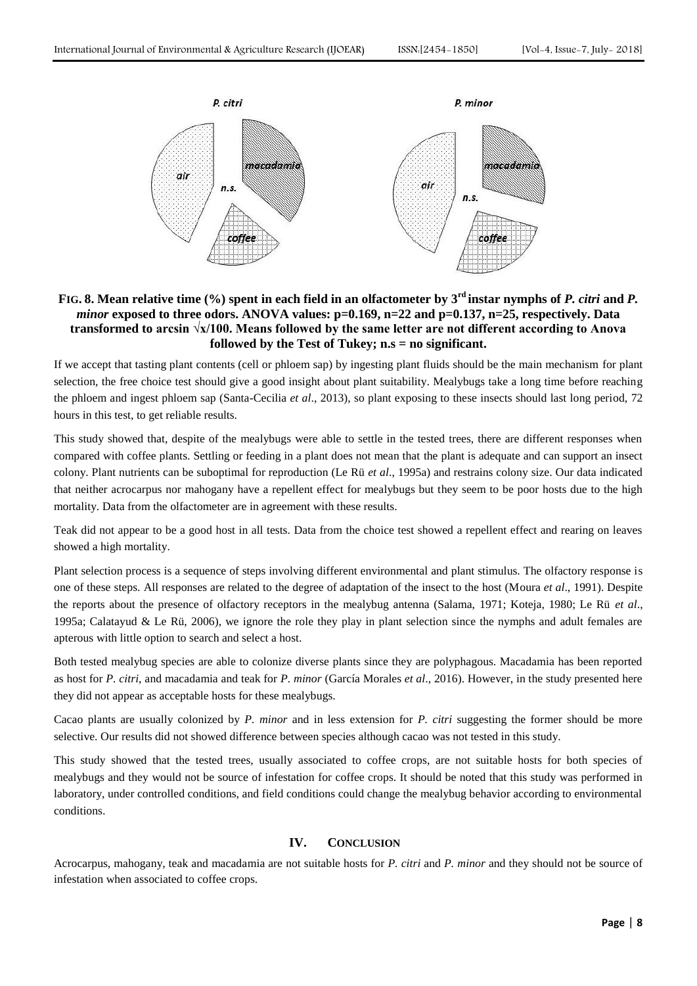

# **FIG. 8. Mean relative time (%) spent in each field in an olfactometer by 3rd instar nymphs of** *P. citri* **and** *P. minor* exposed to three odors. ANOVA values:  $p=0.169$ ,  $n=22$  and  $p=0.137$ ,  $n=25$ , respectively. Data **transformed to arcsin √x/100. Means followed by the same letter are not different according to Anova followed by the Test of Tukey; n.s = no significant.**

If we accept that tasting plant contents (cell or phloem sap) by ingesting plant fluids should be the main mechanism for plant selection, the free choice test should give a good insight about plant suitability. Mealybugs take a long time before reaching the phloem and ingest phloem sap (Santa-Cecilia *et al*., 2013), so plant exposing to these insects should last long period, 72 hours in this test, to get reliable results.

This study showed that, despite of the mealybugs were able to settle in the tested trees, there are different responses when compared with coffee plants. Settling or feeding in a plant does not mean that the plant is adequate and can support an insect colony. Plant nutrients can be suboptimal for reproduction (Le Rü *et al*., 1995a) and restrains colony size. Our data indicated that neither acrocarpus nor mahogany have a repellent effect for mealybugs but they seem to be poor hosts due to the high mortality. Data from the olfactometer are in agreement with these results.

Teak did not appear to be a good host in all tests. Data from the choice test showed a repellent effect and rearing on leaves showed a high mortality.

Plant selection process is a sequence of steps involving different environmental and plant stimulus. The olfactory response is one of these steps. All responses are related to the degree of adaptation of the insect to the host (Moura *et al*., 1991). Despite the reports about the presence of olfactory receptors in the mealybug antenna (Salama, 1971; Koteja, 1980; Le Rü *et al*., 1995a; Calatayud & Le Rü, 2006), we ignore the role they play in plant selection since the nymphs and adult females are apterous with little option to search and select a host.

Both tested mealybug species are able to colonize diverse plants since they are polyphagous. Macadamia has been reported as host for *P. citri*, and macadamia and teak for *P. minor* (García Morales *et al*., 2016). However, in the study presented here they did not appear as acceptable hosts for these mealybugs.

Cacao plants are usually colonized by *P. minor* and in less extension for *P. citri* suggesting the former should be more selective. Our results did not showed difference between species although cacao was not tested in this study.

This study showed that the tested trees, usually associated to coffee crops, are not suitable hosts for both species of mealybugs and they would not be source of infestation for coffee crops. It should be noted that this study was performed in laboratory, under controlled conditions, and field conditions could change the mealybug behavior according to environmental conditions.

# **IV. CONCLUSION**

Acrocarpus, mahogany, teak and macadamia are not suitable hosts for *P. citri* and *P. minor* and they should not be source of infestation when associated to coffee crops.